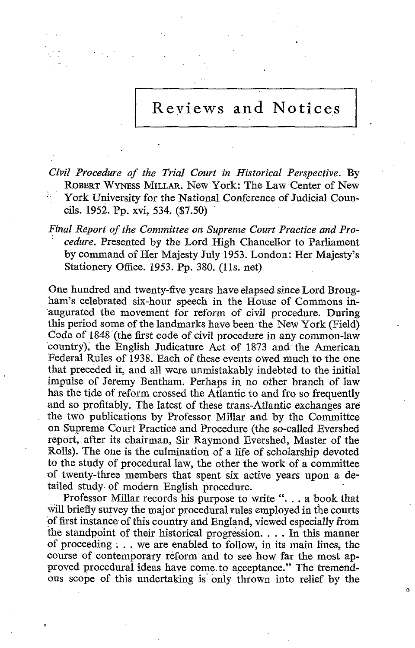## Reviews and Notices

Civil Procedure of the Trial Court in Historical Perspective. By ROBERT WYNEss MILLAR. New York: The Law Center of New York University for the National Conference of Judicial Councils . 1952. Pp. xvi, 534. (\$7.50)

Final Report of the Committee on Supreme Court Practice and Pro cedure. Presented by the Lord High Chancellor to Parliament by command of Her Majesty July 1953. London: Her Majesty's Stationery Office. 1953. Pp. 380. (11s. net)

One hundred and twenty-five years have elapsed since Lord Brougham's celebrated six-hour speech in the House of Commons inaugurated the movement for reform of civil procedure. During this period some of the landmarks have been the New York (Field) Code of <sup>1848</sup>'(the first code of civil procedure in any common-law 'country), the English Judicature Act of 1873 and- the American Federal Rules of 1938. Each of these events owed much to the one that preceded it, and all were unmistakably indebted to the initial impulse of Jeremy Bentham. Perhaps in no other branch of law has the tide of reform crossed the Atlantic to and fro so frequently and so profitably. The latest of these trans-Atlantic exchanges are. the two publications by Professor Millar and by the Committee on Supreme Court Practice and Procedure (the so-called Evershed report, after its chairman, Sir Raymond Evershed, Master of the Rolls). The one is the culmination of a life of scholarship devoted to the study of procedural law, the other the work of a committee of twenty-three members that spent six active years upon a detailed study of modern English procedure.

Professor Millar records his purpose to write " $\ldots$  a book that will briefly survey the major procedural rules employed in the courts of first instance of this country and England, viewed especially from the standpoint of their historical progression. . . . In this manner of proceeding ; . . we are enabled to follow-, in its main lines, the course of contemporary reform and to see how far the most approved procedural ideas have come to acceptance." The tremendous scope of this undertaking is only thrown into relief by the

ó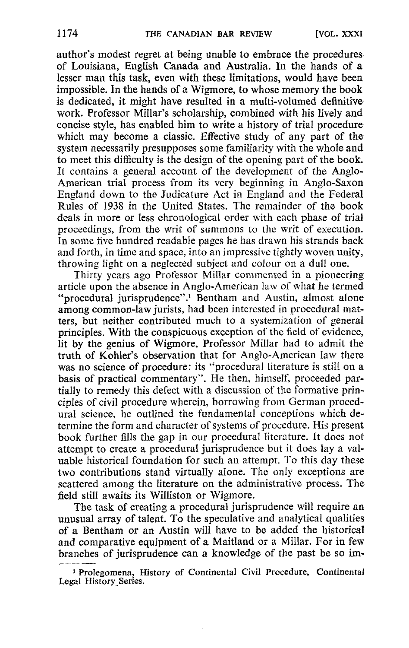author's modest regret at being unable to embrace the procedures of Louisiana, English Canada and Australia. In the hands of a lesser man this task, even with these limitations, would have been impossible. In the hands of a Wigmore, to whose memory the book is dedicated, it might have resulted in a multi-volumed definitive work. Professor Millar's scholarship, combined with his lively and concise style, has enabled him to write a history of trial procedure which may become a classic. Effective study of any part of the system necessarily presupposes some familiarity with the whole and to meet this difficulty is the design of the opening part of the book. It contains a general account of the development of the Anglo-American trial process from its very beginning in Anglo-Saxon England down to the Judicature Act in England and the Federal Rules of 1938 in the United States . The remainder of the book deals in more or less chronological order with each phase of trial proceedings, from the writ of summons to the writ of execution. In some five hundred readable pages he has drawn his strands back and forth, in time and space, into an impressive tightly woven unity, throwing light on a neglected subject and colour on a dull one.

Thirty years ago Professor Millar commented in a pioneering article upon the absence in Anglo-American law of what he termed "procedural jurisprudence".<sup>1</sup> Bentham and Austin, almost alone among common-law jurists, had been interested in procedural matters, but neither contributed much to a systemization of general principles. With the conspicuous exception of the field of evidence, lit by the genius of Wigmore, Professor Millar had to admit the truth of Kohler's observation that for Anglo-American law there was no science of procedure: its "procedural literature is still on a basis of practical commentary". He then, himself, proceeded partially to remedy this defect with a discussion of the formative principles of civil procedure wherein, borrowing from German procedural science, he outlined the fundamental conceptions which determine the form and character of systems of procedure. His present book further fills the gap in our procedural literature. It does not attempt to create a procedural jurisprudence but it does lay a valuable historical foundation for such an attempt. To this day these two contributions stand virtually alone. The only exceptions are scattered among the literature on the administrative process. The field still awaits its Williston or Wigmore.

The task of creating a procedural jurisprudence will require an unusual array of talent. To the speculative and analytical qualities of a Bentham or an Austin will have to be added the historical and comparative equipment of a Maitland or a Millar. For in few branches of jurisprudence can a knowledge of the past be so im-

<sup>i</sup> Prolegomena, History of Continental Civil Procedure, Continental Legal History Series.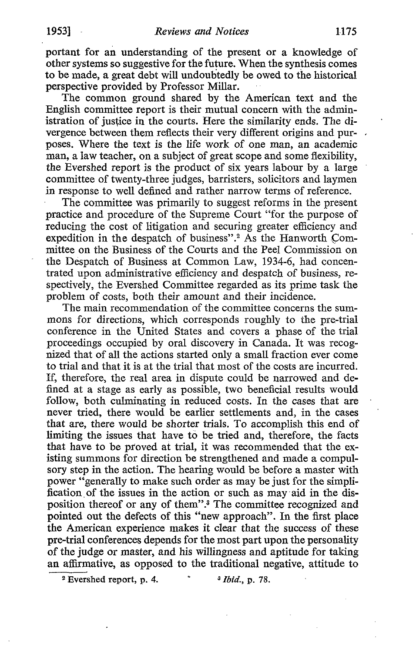portant for an understanding of the present or a knowledge of other systems so suggestive for the future. When the synthesis comes to be made, a great debt will undoubtedly be owed to the historical perspective provided by Professor Millar.

The common ground shared by the American text and the English committee report is their mutual concern with the administration of justice in the courts. Here the similarity ends. The divergence between them reflects their very different origins and purposes. Where the text is the life work of one man, an academic man, a law teacher, on a subject of great scope and some flexibility, the Evershed report is the product of six years labour by a large committee of twenty-three judges, barristers, solicitors and laymen in response to well defined and rather narrow terms of reference.

The committee was primarily to suggest reforms in the present practice and procedure of the Supreme Court "for the purpose of reducing the cost of litigation and securing greater efficiency and expedition in the despatch of business".<sup>2</sup> As the Hanworth Committee on the Business of the Courts and the Peel Commission on the Dèspatch of Business at Common Law, 1934-6, had concentrated upon administrative efficiency and despatch of business, respectively, the Evershed Committee regarded as its prime task the problem of costs, both their amount and their incidence.

The main recommendation of the committee concerns the summons for directions, which corresponds roughly to the pre-trial conference in the United States and covers a phase of the trial proceedings occupied by oral discovery in Canada. It was recognized that of all the actions started only a small fraction ever come to trial and that it is at the trial that most of the costs are incurred. If, therefore, the real area in dispute could be narrowed and defined at a stage as early as possible, two beneficial results would follow, both culminating in reduced costs. In the cases that are never tried, there would be earlier settlements and, in the cases that are, there would be shorter trials . To accomplish this end of limiting the issues that have to be tried and, therefore, the facts that have to be proved at trial, it was recommended that the existing summons for direction be strengthened and made a compulsory step in the action. The hearing would be before a master with power "generally to make such order as may be just for the simplification of the issues in the action or such as may aid in the disposition thereof or any of them".3 The committee recognized and pointed out the defects of this "new approach". In the first place the American experience makes it clear that the success of these pre-trial conferences depends for the most part upon the personality of the judge or master, and his willingness and aptitude for taking an affirmative, as opposed to the traditional negative, attitude to

<sup>2</sup> Evershed report, p. 4.  $\dot{3}$  Ibid., p. 78.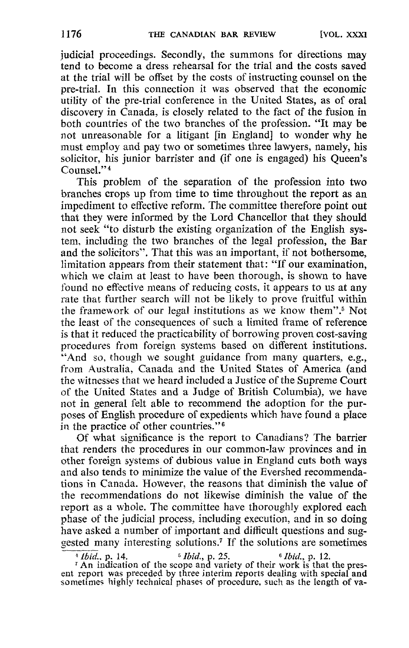judicial proceedings. Secondly, the summons for directions may tend to become a dress rehearsal for the trial and the costs saved at the trial will be offset by the costs of instructing counsel on the pre-trial. In this connection it was observed that the economic utility of the pre-trial conference in the United States, as of oral discovery in Canada, is closely related to the fact of the fusion in both countries of the two branches of the profession. "It may be not unreasonable for a litigant [in England] to wonder why he must employ and pay two or sometimes three lawyers, namely, his solicitor, his junior barrister and (if one is engaged) his Oueen's Counsel."<sup>4</sup>

This problem of the separation of the profession into two branches crops up from time to time throughout the report as an impediment to effective reform. The committee therefore point out that they were informed by the Lord Chancellor that they should not seek "to disturb the existing organization of the English system, including the two branches of the legal profession, the Bar and the solicitors". That this was an important, if not bothersome, limitation appears from their statement that: "If our examination, which we claim at least to have been thorough, is shown to have found no effective means of reducing costs, it appears to us at any rate that further search will not be likely to prove fruitful within the framework of our legal institutions as we know them".<sup>5</sup> Not the least of the consequences of such a limited frame of reference is that it reduced the practicability of borrowing proven cost-saving procedures from foreign systems based on different institutions. And so, though we sought guidance from many quarters, e.g., from Australia, Canada and the United States of America (and the witnesses that we heard included a Justice of the Supreme Court of the United States and a Judge of British Columbia), we have not in general felt able to recommend the adoption for the purposes of English procedure of expedients which have found a place in the practice of other countries."<sup>6</sup>

Of what significance is the report to Canadians? The barrier that renders the procedures in our common-law provinces and in other foreign systems of dubious value in England cuts both ways and also tends to minimize the value of the Evershed recommendations in Canada. However, the reasons that diminish the value of the recommendations do not likewise diminish the value of the report as a whole. The committee have thoroughly explored each phase of the judicial process, including execution, and in so doing have asked a number of important and difficult questions and suggested many interesting solutions.<sup>7</sup> If the solutions are sometimes  $\frac{4 \text{ fbid., p. 14.}}{16 \text{ fbid., p. 12.}}$ 

<sup>4</sup> *Ibid.*, p. 14. <sup>5</sup> *Ibid.*, p. 25. <sup>6</sup> *Ibid.*, p. 12. <sup>6</sup> *Ibid.*, p. 12. <sup>1</sup> An indication of the scope and variety of their work is that the present report was preceded by three interim reports dealing with special and sometimes highly technical phases of procedure, such as the length of va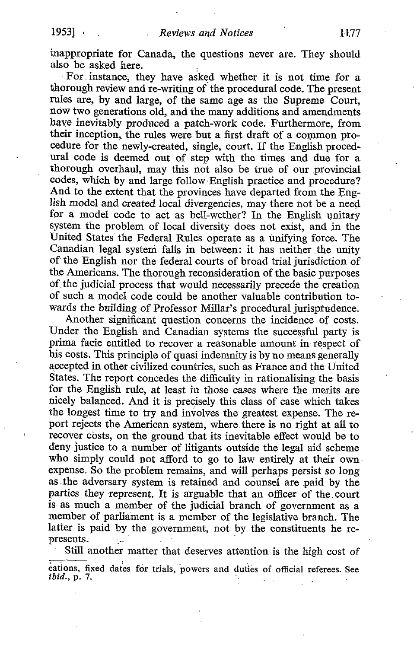inappropriate for Canada, the questions never are. They should also be asked here.

For . instance, they have asked whether it is not time for a thorough review and re-writing of the procedural code. The present rules are, by and large, of the same age as the Supreme Court, nowtwo generations old, and the many additions and amendments have inevitably produced a patch-work code. Furthermore, from their inception, the rules were but a first draft of a common procedure for the newly-created, single, court. If the English procedural code is deemed out of step with the times and due for a thorough overhaul, may this not also be true of our provincial codes, which by and large follow English practice and procedure? And to the extent that the provinces have departed. from the English model and created local divergencies, may there not be a need for a model code to act as bell-wether? In the English unitary system the problem of local diversity does not exist, and in the United States the Federal Rules operate as a unifying force. The Canadian legal system falls in between: it has neither the unity of the English nor the federal courts of broad trial jurisdiction of the Americans. The thorough reconsideration of the basic purposes of the judicial process that would necessarily precede the creation of such a model code could be another valuable contribution towards the building of Professor Millar's procedural jurisprudence.

Another significant question concerns the incidence of costs. Under the English and Canadian systems the successful party is prima facie entitled to recover a reasonable amount in. respect of his costs. This principle of quasi indemnity is by no means generally accepted in other civilized countries, such as France and the United States. The report concedes the difficulty in rationalising the basis for the English rule, at least in those cases where the merits are nicely balanced. And it is precisely this class of case which takes the longest time to try and involves the greatest expense. The report rejects the American system, where .there is no right at all to recover costs, on the ground that its inevitable effect would be to deny justice to,a number of litigants outside the legal aid scheme who simply could not afford to go to law entirely at their own expense. So the problem remains, and will perhaps persist so long as the adversary system is retained and counsel are paid by the parties they represent. It is arguable that an officer of the .court is. as much a member of the judicial branch of government as a member of parliament is a member of the legislative branch. The latter is paid by the government, not by the constituents he represents.

Still another matter that deserves attention is the high cost of cations, fixed dates for trials, 'powers and duties of official referees . See *ibid.*, p. 7.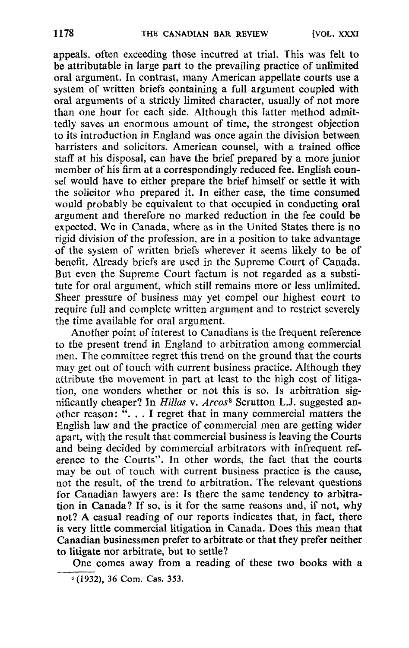appeals, often exceeding those incurred at trial. This was felt to be attributable in large part to the prevailing practice of unlimited oral argument. In contrast, many American appellate courts use a system of written briefs containing a full argument coupled with oral arguments of a strictly limited character, usually of not more than one hour for each side. Although this latter method admittedly saves an enormous amount of time, the strongest objection to its introduction in England was once again the division between barristers and solicitors. American counsel, with a trained office staff at his disposal, can have the brief prepared by a more junior member of his firm at a correspondingly reduced fee. English counsel would have to either prepare the brief himself or settle it with the solicitor who prepared it . In either case, the time consumed would probably be equivalent to that occupied in conducting oral argument and therefore no marked reduction in the fee could be expected. We in Canada, where as in the United States there is no rigid division of the profession, are in a position to take advantage of the system of written briefs wherever it seems likely to be of benefit. Already briefs are used in the Supreme Court of Canada. But even the Supreme Court factum is not regarded as a substitute for oral argument, which still remains more or less unlimited. Sheer pressure of business may yet compel our highest court to require full and complete written argument and to restrict severely the time available for oral argument.

Another point of interest to Canadians is the frequent reference to the present trend in England to arbitration among commercial men. The committee regret this trend on the ground that the courts may get out of touch with current business practice. Although they attribute the movement in part at least to the high cost of litigation, one wonders whether or not this is so. Is arbitration significantly cheaper? In Hillas v. Arcos<sup>8</sup> Scrutton L.J. suggested another reason: "... I regret that in many commercial matters the English law and the practice of commercial men are getting wider apart, with the result that commercial business is leaving the Courts and being decided by commercial arbitrators with infrequent reference to the Courts". In other words, the fact that the courts may be out of touch with current business practice is the cause, not the result, of the trend to arbitration. The relevant questions for Canadian lawyers are: Is there the same tendency to arbitration in Canada? If so, is it for the same reasons and, if not, why not? A casual reading of our reports indicates that, in fact, there is very little commercial litigation in Canada. Does this mean that Canadian businessmen prefer to arbitrate or that they prefer neither to litigate nor arbitrate, but to settle?

One comes away from a reading of these two books with a <sup>K</sup> (1932), <sup>36</sup> Com. Cas. 353.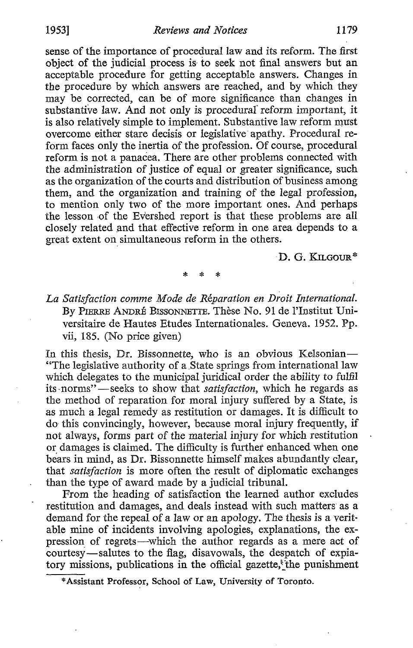sense of the importance of procedural law and its reform. The first object of the judicial process is to seek not final answers but an acceptable procedure for getting acceptable answers. Changes in the procedure by which answers are reached, and by which they may be corrected, can be of more significance than changes in substantive law. And not only is procedural reform important, it is also relatively simple to implement. Substantive law reform must overcome either stare decisis or legislative apathy. Procedural reform faces only the inertia of the profession. Of course, procedural reform is not a panacea. There are other problems connected with the administration of justice of equal or greater significance, such as the organization of the courts and distribution of business among them, and the organization and training of the legal profession, to mention only two of the more important ones. And perhaps the lesson of the Evershed report is that these problems are all closely related and that effective reform in one area depends to a great extent on simultaneous reform in the others .

D. G. KILCOUR\*

La Satisfaction comme Mode de Réparation en Droit International. By PIERRE ANDRÉ BISSONNETTE. Thèse No. <sup>91</sup> de <sup>l</sup>'Institut Universitaire de Hautes Etudes Internationales. Geneva. 1952. Pp. vii, 185. (No price given)

In this thesis, Dr. Bissonnette, who is an obvious Kelsonian-"The legislative authority of a .State springs from international law which delegates to the municipal juridical order the ability to fulfil its norms"—seeks to show that *satisfaction*, which he regards as the method of reparation for moral injury suffered by a State, is as much a legal remedy as restitution or damages. It is difficult to do. this convincingly, however, because moral injury frequently, if not always, forms part of the material injury for which restitution or damages is claimed. The difficulty is further enhanced when one bears in mind, as Dr. Bissonnette himself makes abundantly clear, that satisfaction is more often the result of diplomatic exchanges than the type of award made by a judicial tribunal.

From the heading of satisfaction the learned author excludes restitution and damages, and deals instead with such matters' as a demand for the repeal of a law or an apology. The thesis is a veritable mine of incidents involving apologies, explanations, the expression of regrets-which the author regards as a mere act of courtesy-salutes to the flag, disavowals, the despatch of expiatory missions, publications in the official gazette,"the punishment

<sup>\*</sup>Assistant Professor, School of Law, University of Toronto.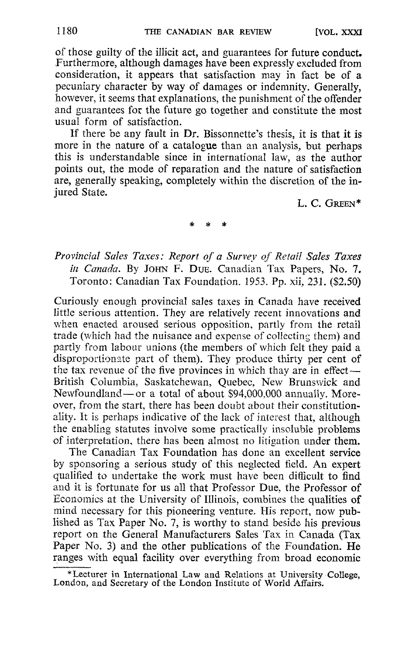of those guilty of the illicit act, and guarantees for future conduct. Furthermore, although damages have been expressly excluded from consideration, it appears that satisfaction may in fact be of a pecuniary character by way of damages or indemnity. Generally, however, it seems that explanations, the punishment of the offender and guarantees for the future go together and constitute the most usual form of satisfaction.

If there be any fault in Dr. Bissonnette's thesis, it is that it is more in the nature of a catalogue than an analysis, but perhaps this is understandable since in international law, as the author points out, the mode of reparation and the nature of satisfaction are, generally speaking, completely within the discretion of the injured State.

L. C. GREEN\*

## Provincial Sales Taxes: Report of a Survey of Retail Sales Taxes in Canada. By JOHN F. DUE. Canadian Tax Papers, No. 7. Toronto: Canadian Tax Foundation. 1953. Pp. xii, 231. (\$2.50)

Curiously enough provincial sales taxes in Canada have received little serious attention. They are relatively recent innovations and when enacted aroused serious opposition, partly from the retail trade (which had the nuisance and expense of collecting them) and partly from labour unions (the members of which felt they paid a disproportionate part of them). They produce thirty per cent of the tax revenue of the five provinces in which thay are in effect $-$ British Columbia, Saskatchewan, Quebec, New Brunswick and Newfoundland-or a total of about \$94,000,000 annually. Moreover, from the start, there has been doubt about their constitutionality. It is perhaps indicative of the lack of interest that, although the enabling statutes involve some practically insoluble problems of interpretation, there has been almost no litigation under them.

The Canadian Tax Foundation has done an excellent service by sponsoring <sup>a</sup> serious study of this neglected field. An expert qualified to undertake the work must have been difficult to find and it is fortunate for us all that Professor Due, the Professor of Economics at the University of Illinois, combines the qualities of mind necessary for this pioneering venture. His report, now published as Tax Paper No. 7, is worthy to stand beside his previous report on the General Manufacturers Sales Tax in Canada (Tax Paper No. 3) and the other publications of the Foundation. He ranges with equal facility over everything from broad economic

<sup>\*</sup>Lecturer in International Law and Relations at University College, London, and Secretary of the London Institute of World Affairs.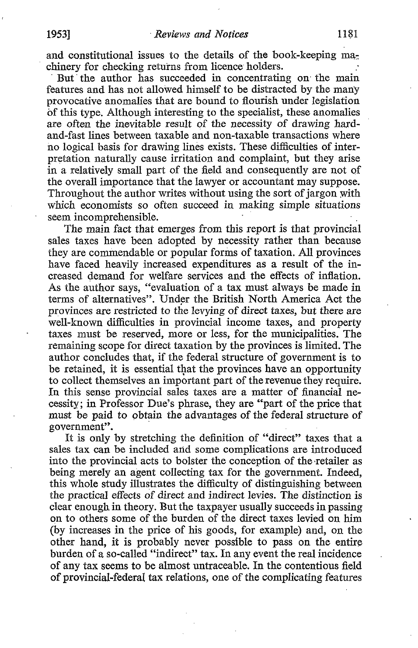But the author has succeeded in concentrating on the main features and has not allowed himself to be distracted by the many provocative anomalies that are bound to flourish under legislation of this type. Although interesting to the specialist, these anomalies are often the inevitable result of the necessity of drawing hardand-fast lines between taxable and non-taxable transactions where no logical basis for drawing lines exists . These difficulties of interpretation naturally cause irritation and complaint, but they arise in a relatively small part of the field and consequently are not of the overall importance that the lawyer or accountant may suppose. Throughout the author writes without using the sort of jargon with which economists so often succeed in making simple situations seem incomprehensible.

The main fact that emerges from this report is that provincial sales taxes have been adopted by necessity rather than because they are commendable or popular forms of taxation. All provinces have faced heavily increased expenditures as a result of the increased demand for welfare services and the effects of inflation. As the author says, "evaluation of a tax must always be made in terms of alternatives". Under the British North America Act the provinces are restricted to the levying of direct taxes, but there are well-known difficulties in provincial income taxes, and property taxes must be reserved, more or less, for the municipalities . The remaining scope for direct taxation by the provinces is limited. The author concludes that, if the federal structure of government is to be retained, it is essential that the provinces have an opportunity to collect themselves an important part of the revenue they require. In this sense provincial sales taxes are a matter of financial necessity; in Professor Due's phrase, they are "part of the price that must be paid to obtain the advantages of the federal structure of government".

It is only by stretching the definition of "direct" taxes that a sales tax can be included and some complications are introduced into the provincial acts to bolster the conception of the retailer as being merely an agent collecting tax for the government. Indeed, this whole study illustrates the difficulty of distinguishing between the practical effects of direct and indirect levies . The distinction is clear enough in theory . But the taxpayer usually succeeds in passing on to others some of the burden of the direct taxes levied on him (by increases in the price of his goods, for example) and, on the other hand, it is probably never possible to pass on the entire burden of a so-called "indirect" tax. In any event the real incidence of any tax seems to be almost untraceable. In the contentious field of provincial-federal tax relations, one of the complicating features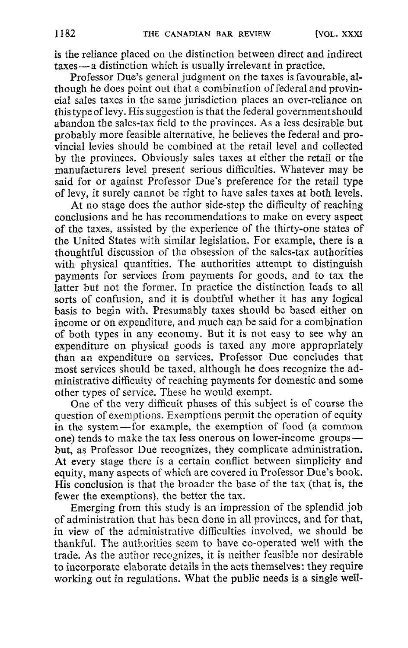is the reliance placed on the distinction between direct and indirect taxes - a distinction which is usually irrelevant in practice.

Professor Due's general judgment on the taxes is favourable, although he does point out that a combination of federal and provincial sales taxes in the same jurisdiction places an over-reliance on this typeof levy . His suggestion is that the federal government should abandon the sales-tax field to the provinces. As a less desirable but probably more feasible alternative, he believes the federal and provincial levies should be combined at the retail level and collected by the provinces. Obviously sales taxes at either the retail or the manufacturers level present serious difficulties . Whatever may be said for or against Professor Due's preference for the retail type of levy, it surely cannot be right to have sales taxes at both levels .

At no stage does the author side-step the difficulty of reaching conclusions and he has recommendations to make on every aspect of the taxes, assisted by the experience of the thirty-one states of the United States with similar legislation. For example, there is a thoughtful discussion of the obsession of the sales-tax authorities with physical quantities. The authorities attempt to distinguish payments for services from payments for goods, and to tax the latter but not the former. In practice the distinction leads to all sorts of confusion, and it is doubtful whether it has any logical basis to begin with. Presumably taxes should be based either on income or on expenditure, and much can be said for a combination of both types in any economy. But it is not easy to see why an expenditure on physical goods is taxed any more appropriately than an expenditure on services. Professor Due concludes that most services should be taxed, although he does recognize the administrative difficulty of reaching payments for domestic and some other types of service. These he would exempt.

One of the very difficult phases of this subject is of course the question of exemptions . Exemptions permit the operation of equity in the system-for example, the exemption of food (a common one) tends to make the tax less onerous on lower-income groups but, as Professor Due recognizes, they complicate administration. At every stage there is a certain conflict between simplicity and equity, many aspects of which are covered in Professor Due's book. His conclusion is that the broader the base of the tax (that is, the fewer the exemptions), the better the tax.

Emerging from this study is an impression of the splendid job of administration that has been done in all provinces, and for that, in view of the administrative difficulties involved, we should be thankful. The authorities seem to have co-operated well with the trade. As the author recognizes, it is neither feasible nor desirable to incorporate elaborate details in the acts themselves: they require working out in regulations. What the public needs is a single well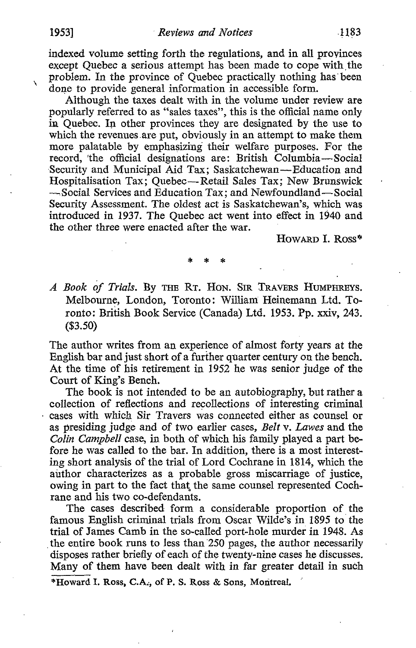$\lambda$ 

indexed volume setting forth the regulations, and in all provinces except Quebec a serious attempt has been made to cope with the problem. In the province of Quebec practically nothing has' been done to provide general information in accessible form.

Although the taxes dealt with in the volume under review are popularly referred to as "sales taxes", this is the official name only in Quebec . In other provinces they are designated by the use to which the revenues are put, obviously in an attempt to make them more palatable by emphasizing their welfare purposes. For the record, 'the official designations are: British Columbia-Social Security and Municipal Aid Tax; Saskatchewan-Education and Hospitalisation Tax; Quebec-Retail Sales Tax; New Brunswick -Social Services and Education Tax; and Newfoundland-Social Security Assessment. The oldest act is Saskatchewan's, which was introduced in 1937. The Quebec act went into effect in 1940 and the other three were enacted after the war.

HowARD I. Ross\*

A Book of Trials. By THE RT. HON. SIR TRAVERS HUMPHREYS. Melbourne, London, Toronto: William Heinemann Ltd. Toronto: British Book Service (Canada) Ltd. <sup>1953</sup> . Pp. xxiv, 243. (\$3.50)

The author writes from an experience of almost forty years at the English bar and just short of a further quarter century on the bench. At the time of his retirement in 1952 he was senior judge of the Court of King's Bench.

The book is not intended to be an autobiography, but rather a collection of reflections and recollections of interesting criminal cases with which Sir Travers was connected either as counsel or as presiding judge and of two earlier cases, Belt v. Lawes and the Colin Campbell case, in both of which his family played a part before he was called to the bar. In addition, there is a most interesting short analysis of the trial of Lord Cochrane in 1814, which the author characterizes as a probable gross miscarriage of justice, owing in part to the fact that the same counsel represented Cochrane and his two co-defendants.

The cases described form a considerable proportion of the famous English criminal trials from Oscar Wilde's in 1895 to the trial of James Camb in the so-called port-hole murder in 1948 . As the entire book runs to less than  $250$  pages, the author necessarily disposes rather briefly of each of the twenty-nine cases he discusses. Many of them have been dealt with in far greater detail in such

\*Howard I. Ross, C.A;, of P. S. Ross & Sons, Moritreai.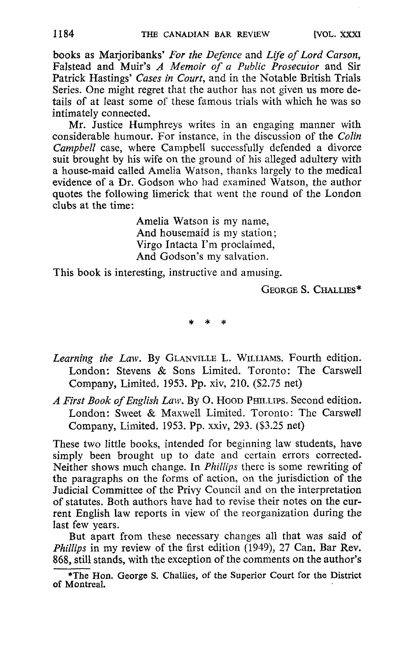books as Marjoribanks' For the Defence and Life of Lord Carson. Falstead and Muir's A Memoir of a Public Prosecutor and Sir Patrick Hastings' Cases in Court, and in the Notable British Trials Series. One might regret that the author has not given us more details of at least some of these famous trials with which he was so intimately connected.

Mr. Justice Humphreys writes in an engaging manner with considerable humour. For instance, in the discussion of the Colin Campbell case, where Campbell successfully defended a divorce suit brought by his wife on the ground of his alleged adultery with a house-maid called Amelia Watson, thanks largely to the medical evidence of a Dr. Godson who had examined Watson, the author quotes the following limerick that went the round of the London clubs at the time :

> Amelia Watson is my name, And housemaid is my station; Virgo Intacta I'm proclaimed, And Godson's my salvation.

This book is interesting, instructive and amusing.

GEORGE S. CHALLIES\*

- Learning the Law. By GLANVILLE L. WILLIAMS. Fourth edition. London: Stevens & Sons Limited. Toronto: The Carswell Company, Limited. 1953. Pp. xiv, 210. (\$2.75 net)
- A First Book of English Law. By O. Hoop PHILLIPS. Second edition. London: Sweet & Maxwell Limited. Toronto: The Carswell Company, Limited. 1953. Pp. xxiv, 293. (\$3.25 net)

These two little books, intended for beginning law students, have simply been brought up to date and certain errors corrected. Neither shows much change. In Phillips there is some rewriting of the paragraphs on the forms of action, on the jurisdiction of the Judicial Committee of the Privy Council and on the interpretation of statutes. Both authors have had to revise their notes on the current English law reports in view of the reorganization during the last few years.

But apart from these necessary changes all that was said of Phillips in my review of the first edition (1949), 27 Can. Bar Rev. 868, still stands, with the exception of the comments on the author's

<sup>\*</sup>The Hon. George S. Challies, of the Superior Court for the District of Montreal